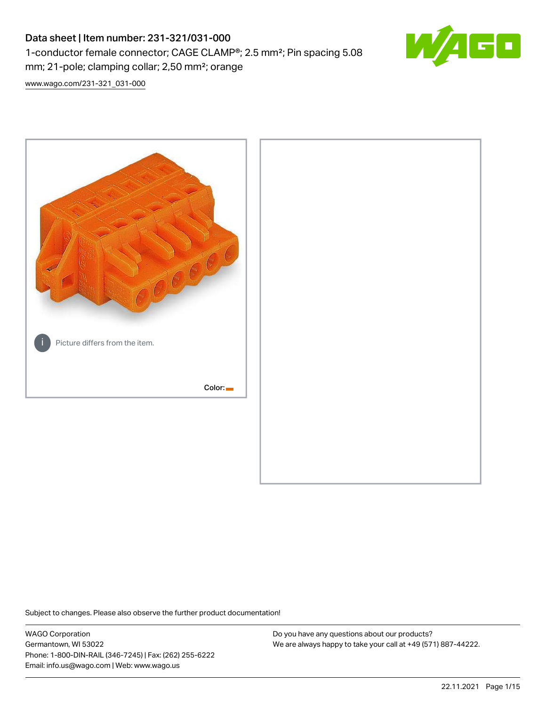# Data sheet | Item number: 231-321/031-000 1-conductor female connector; CAGE CLAMP®; 2.5 mm²; Pin spacing 5.08 mm; 21-pole; clamping collar; 2,50 mm²; orange



[www.wago.com/231-321\\_031-000](http://www.wago.com/231-321_031-000)



Subject to changes. Please also observe the further product documentation!

WAGO Corporation Germantown, WI 53022 Phone: 1-800-DIN-RAIL (346-7245) | Fax: (262) 255-6222 Email: info.us@wago.com | Web: www.wago.us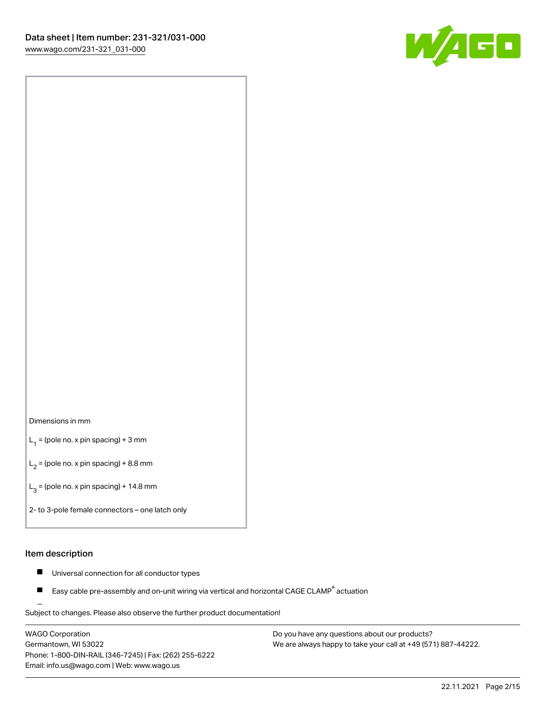

#### Dimensions in mm

 $L_1$  = (pole no. x pin spacing) + 3 mm

 $L_2$  = (pole no. x pin spacing) + 8.8 mm

 $L_3$  = (pole no. x pin spacing) + 14.8 mm

2- to 3-pole female connectors – one latch only

#### Item description

- $\blacksquare$ Universal connection for all conductor types
- Easy cable pre-assembly and on-unit wiring via vertical and horizontal CAGE CLAMP<sup>®</sup> actuation П

.<br>Subject to changes. Please also observe the further product documentation!

WAGO Corporation Germantown, WI 53022 Phone: 1-800-DIN-RAIL (346-7245) | Fax: (262) 255-6222 Email: info.us@wago.com | Web: www.wago.us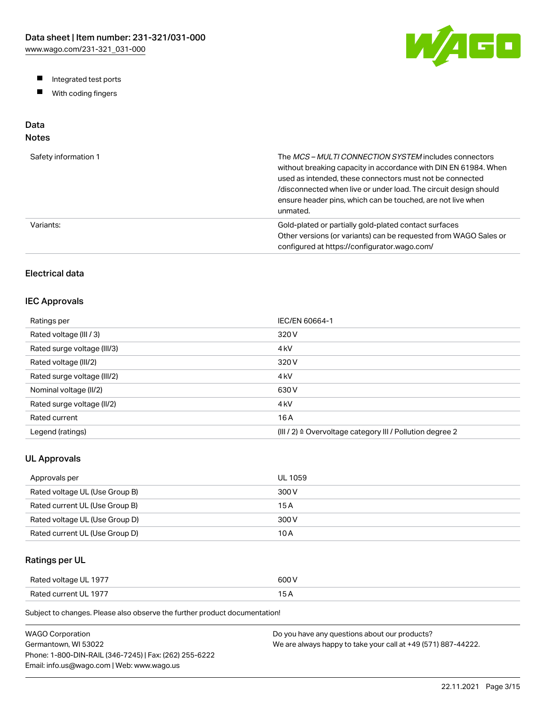W/AGO

- Integrated test ports
- $\blacksquare$ With coding fingers

# Data

# Notes

| Safety information 1 | The MCS-MULTI CONNECTION SYSTEM includes connectors<br>without breaking capacity in accordance with DIN EN 61984. When<br>used as intended, these connectors must not be connected<br>/disconnected when live or under load. The circuit design should<br>ensure header pins, which can be touched, are not live when<br>unmated. |
|----------------------|-----------------------------------------------------------------------------------------------------------------------------------------------------------------------------------------------------------------------------------------------------------------------------------------------------------------------------------|
| Variants:            | Gold-plated or partially gold-plated contact surfaces<br>Other versions (or variants) can be requested from WAGO Sales or<br>configured at https://configurator.wago.com/                                                                                                                                                         |

# Electrical data

## IEC Approvals

| Ratings per                 | IEC/EN 60664-1                                                        |
|-----------------------------|-----------------------------------------------------------------------|
| Rated voltage (III / 3)     | 320 V                                                                 |
| Rated surge voltage (III/3) | 4 <sub>kV</sub>                                                       |
| Rated voltage (III/2)       | 320 V                                                                 |
| Rated surge voltage (III/2) | 4 <sub>k</sub> V                                                      |
| Nominal voltage (II/2)      | 630 V                                                                 |
| Rated surge voltage (II/2)  | 4 <sub>k</sub> V                                                      |
| Rated current               | 16 A                                                                  |
| Legend (ratings)            | $(III / 2)$ $\triangle$ Overvoltage category III / Pollution degree 2 |

## UL Approvals

| Approvals per                  | <b>UL 1059</b> |
|--------------------------------|----------------|
| Rated voltage UL (Use Group B) | 300 V          |
| Rated current UL (Use Group B) | 15 A           |
| Rated voltage UL (Use Group D) | 300 V          |
| Rated current UL (Use Group D) | 10 A           |

# Ratings per UL

| Rated voltage UL 1977 | 600 V  |
|-----------------------|--------|
| Rated current UL 1977 | $\sim$ |

| WAGO Corporation                                       | Do you have any questions about our products?                 |
|--------------------------------------------------------|---------------------------------------------------------------|
| Germantown. WI 53022                                   | We are always happy to take your call at +49 (571) 887-44222. |
| Phone: 1-800-DIN-RAIL (346-7245)   Fax: (262) 255-6222 |                                                               |
| Email: info.us@wago.com   Web: www.wago.us             |                                                               |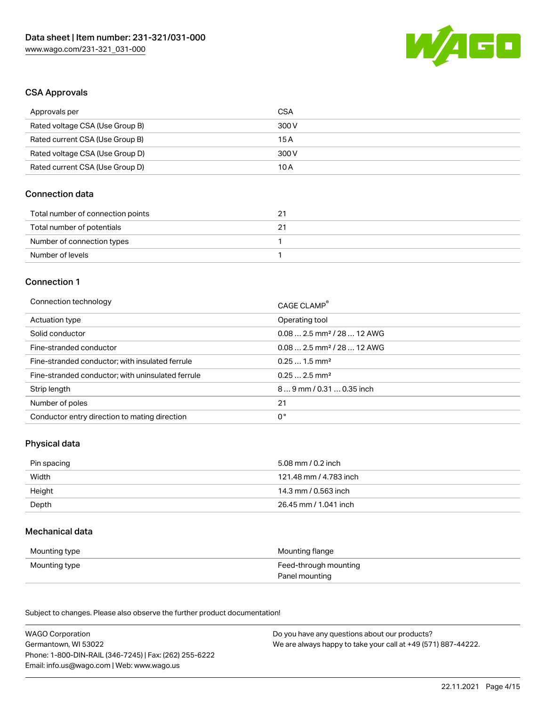

#### CSA Approvals

| Approvals per                   | CSA   |
|---------------------------------|-------|
| Rated voltage CSA (Use Group B) | 300 V |
| Rated current CSA (Use Group B) | 15 A  |
| Rated voltage CSA (Use Group D) | 300 V |
| Rated current CSA (Use Group D) | 10 A  |

## Connection data

| Total number of connection points | 21 |
|-----------------------------------|----|
| Total number of potentials        |    |
| Number of connection types        |    |
| Number of levels                  |    |

#### Connection 1

| Connection technology                             | CAGE CLAMP®                            |
|---------------------------------------------------|----------------------------------------|
| Actuation type                                    | Operating tool                         |
| Solid conductor                                   | $0.082.5$ mm <sup>2</sup> / 28  12 AWG |
| Fine-stranded conductor                           | $0.082.5$ mm <sup>2</sup> / 28  12 AWG |
| Fine-stranded conductor; with insulated ferrule   | $0.251.5$ mm <sup>2</sup>              |
| Fine-stranded conductor; with uninsulated ferrule | $0.252.5$ mm <sup>2</sup>              |
| Strip length                                      | 89 mm / 0.31  0.35 inch                |
| Number of poles                                   | 21                                     |
| Conductor entry direction to mating direction     | 0°                                     |

# Physical data

| Pin spacing | 5.08 mm / 0.2 inch     |
|-------------|------------------------|
| Width       | 121.48 mm / 4.783 inch |
| Height      | 14.3 mm / 0.563 inch   |
| Depth       | 26.45 mm / 1.041 inch  |

#### Mechanical data

| Mounting type | Mounting flange       |
|---------------|-----------------------|
| Mounting type | Feed-through mounting |
|               | Panel mounting        |

| <b>WAGO Corporation</b>                                | Do you have any questions about our products?                 |
|--------------------------------------------------------|---------------------------------------------------------------|
| Germantown, WI 53022                                   | We are always happy to take your call at +49 (571) 887-44222. |
| Phone: 1-800-DIN-RAIL (346-7245)   Fax: (262) 255-6222 |                                                               |
| Email: info.us@wago.com   Web: www.wago.us             |                                                               |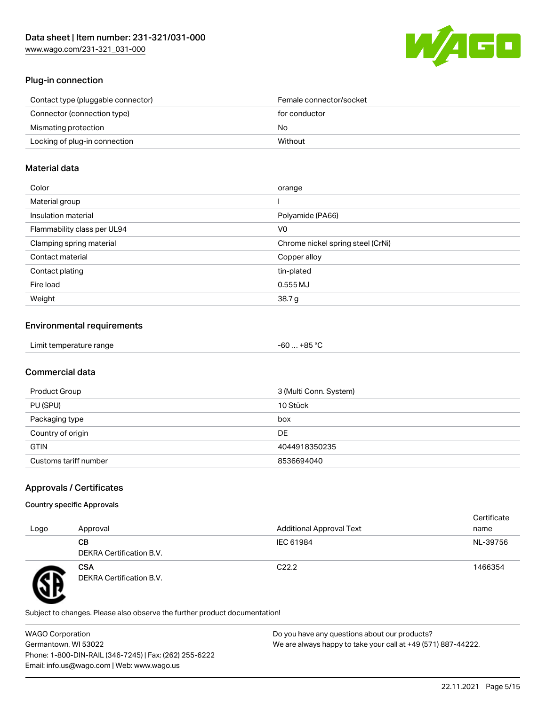[www.wago.com/231-321\\_031-000](http://www.wago.com/231-321_031-000)



## Plug-in connection

| Contact type (pluggable connector) | Female connector/socket |
|------------------------------------|-------------------------|
| Connector (connection type)        | for conductor           |
| Mismating protection               | No.                     |
| Locking of plug-in connection      | Without                 |
|                                    |                         |

## Material data

| Color                       | orange                            |
|-----------------------------|-----------------------------------|
| Material group              |                                   |
| Insulation material         | Polyamide (PA66)                  |
| Flammability class per UL94 | V0                                |
| Clamping spring material    | Chrome nickel spring steel (CrNi) |
| Contact material            | Copper alloy                      |
| Contact plating             | tin-plated                        |
| Fire load                   | $0.555$ MJ                        |
| Weight                      | 38.7g                             |

# Environmental requirements

| Limit temperature range<br>. | . +85 °ົ<br>-60 |  |
|------------------------------|-----------------|--|
|------------------------------|-----------------|--|

# Commercial data

| Product Group         | 3 (Multi Conn. System) |
|-----------------------|------------------------|
| PU (SPU)              | 10 Stück               |
| Packaging type        | box                    |
| Country of origin     | DE                     |
| <b>GTIN</b>           | 4044918350235          |
| Customs tariff number | 8536694040             |

# Approvals / Certificates

#### Country specific Approvals

| Logo | Approval                               | <b>Additional Approval Text</b> | Certificate<br>name |
|------|----------------------------------------|---------------------------------|---------------------|
|      | CВ<br>DEKRA Certification B.V.         | IEC 61984                       | NL-39756            |
|      | <b>CSA</b><br>DEKRA Certification B.V. | C <sub>22.2</sub>               | 1466354             |

Subject to changes. Please also observe the further product documentation!

WAGO Corporation Germantown, WI 53022 Phone: 1-800-DIN-RAIL (346-7245) | Fax: (262) 255-6222 Email: info.us@wago.com | Web: www.wago.us Do you have any questions about our products? We are always happy to take your call at +49 (571) 887-44222.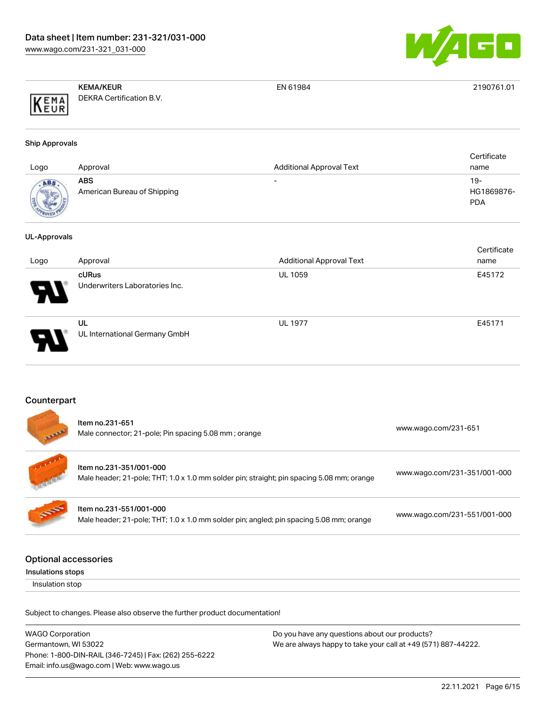

|                              | <b>KEMA/KEUR</b>         | EN 61984 | 2190761.01 |
|------------------------------|--------------------------|----------|------------|
| KEMA<br>' I D .<br>$ I$ Leur | DEKRA Certification B.V. |          |            |

#### Ship Approvals

| Logo         | Approval                           | <b>Additional Approval Text</b> | Certificate<br>name               |
|--------------|------------------------------------|---------------------------------|-----------------------------------|
| <b>ROVED</b> | ABS<br>American Bureau of Shipping | $\overline{\phantom{0}}$        | $19-$<br>HG1869876-<br><b>PDA</b> |

#### UL-Approvals

| Logo                       | Approval                                       | <b>Additional Approval Text</b> | Certificate<br>name |
|----------------------------|------------------------------------------------|---------------------------------|---------------------|
| $\boldsymbol{\mathcal{P}}$ | <b>cURus</b><br>Underwriters Laboratories Inc. | <b>UL 1059</b>                  | E45172              |
| D                          | UL<br>UL International Germany GmbH            | <b>UL 1977</b>                  | E45171              |

## Counterpart

|                             | Item no.231-651<br>Male connector; 21-pole; Pin spacing 5.08 mm; orange                                              | www.wago.com/231-651         |
|-----------------------------|----------------------------------------------------------------------------------------------------------------------|------------------------------|
|                             | Item no.231-351/001-000<br>Male header; 21-pole; THT; 1.0 x 1.0 mm solder pin; straight; pin spacing 5.08 mm; orange | www.wago.com/231-351/001-000 |
| <b>SOF</b>                  | Item no.231-551/001-000<br>Male header; 21-pole; THT; 1.0 x 1.0 mm solder pin; angled; pin spacing 5.08 mm; orange   | www.wago.com/231-551/001-000 |
| <b>Optional accessories</b> |                                                                                                                      |                              |

Insulations stops

Insulation stop

| <b>WAGO Corporation</b>                                | Do you have any questions about our products?                 |
|--------------------------------------------------------|---------------------------------------------------------------|
| Germantown, WI 53022                                   | We are always happy to take your call at +49 (571) 887-44222. |
| Phone: 1-800-DIN-RAIL (346-7245)   Fax: (262) 255-6222 |                                                               |
| Email: info.us@wago.com   Web: www.wago.us             |                                                               |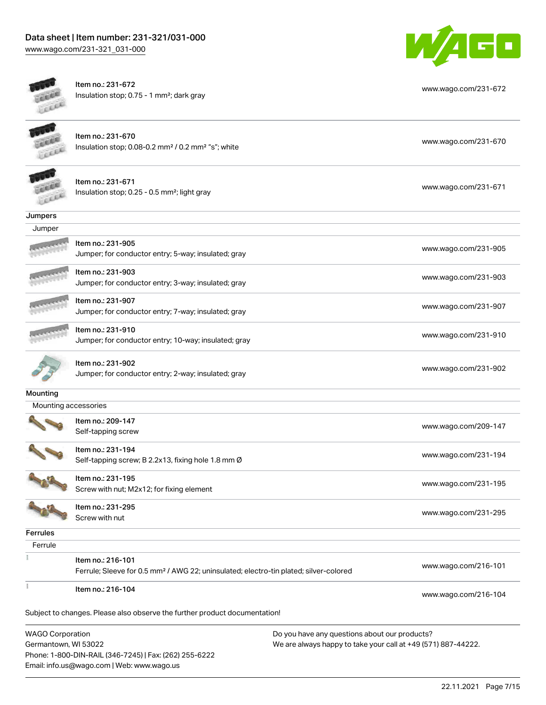

[www.wago.com/231-672](http://www.wago.com/231-672)



Item no.: 231-672 Insulation stop; 0.75 - 1 mm²; dark gray

| <b>WAGO Corporation</b> |                                                                                                                        | Do you have any questions about our products? |
|-------------------------|------------------------------------------------------------------------------------------------------------------------|-----------------------------------------------|
|                         | Subject to changes. Please also observe the further product documentation!                                             |                                               |
|                         | Item no.: 216-104                                                                                                      | www.wago.com/216-104                          |
|                         | Item no.: 216-101<br>Ferrule; Sleeve for 0.5 mm <sup>2</sup> / AWG 22; uninsulated; electro-tin plated; silver-colored | www.wago.com/216-101                          |
|                         |                                                                                                                        |                                               |
| Ferrule                 |                                                                                                                        |                                               |
| <b>Ferrules</b>         | Screw with nut                                                                                                         |                                               |
|                         | Item no.: 231-295                                                                                                      | www.wago.com/231-295                          |
|                         | Screw with nut; M2x12; for fixing element                                                                              |                                               |
|                         | Item no.: 231-195                                                                                                      | www.wago.com/231-195                          |
|                         | Item no.: 231-194<br>Self-tapping screw; B 2.2x13, fixing hole 1.8 mm Ø                                                | www.wago.com/231-194                          |
|                         | Self-tapping screw                                                                                                     | www.wago.com/209-147                          |
|                         | Item no.: 209-147                                                                                                      |                                               |
| Mounting accessories    |                                                                                                                        |                                               |
| Mounting                |                                                                                                                        |                                               |
|                         | Item no.: 231-902<br>Jumper; for conductor entry; 2-way; insulated; gray                                               | www.wago.com/231-902                          |
|                         | Jumper; for conductor entry; 10-way; insulated; gray                                                                   | www.wago.com/231-910                          |
|                         | Jumper; for conductor entry; 7-way; insulated; gray<br>Item no.: 231-910                                               |                                               |
|                         | Item no.: 231-907                                                                                                      | www.wago.com/231-907                          |
|                         | Item no.: 231-903<br>Jumper; for conductor entry; 3-way; insulated; gray                                               | www.wago.com/231-903                          |
|                         | Jumper; for conductor entry; 5-way; insulated; gray                                                                    | www.wago.com/231-905                          |
|                         | Item no.: 231-905                                                                                                      |                                               |
| Jumper                  |                                                                                                                        |                                               |
| Jumpers                 |                                                                                                                        |                                               |
|                         | Item no.: 231-671<br>Insulation stop; 0.25 - 0.5 mm <sup>2</sup> ; light gray                                          | www.wago.com/231-671                          |
|                         | Item no.: 231-670<br>Insulation stop; 0.08-0.2 mm <sup>2</sup> / 0.2 mm <sup>2</sup> "s"; white                        | www.wago.com/231-670                          |
|                         |                                                                                                                        |                                               |

Germantown, WI 53022 Phone: 1-800-DIN-RAIL (346-7245) | Fax: (262) 255-6222 Email: info.us@wago.com | Web: www.wago.us

 $\overline{\phantom{a}}$ ave any questions about o We are always happy to take your call at +49 (571) 887-44222.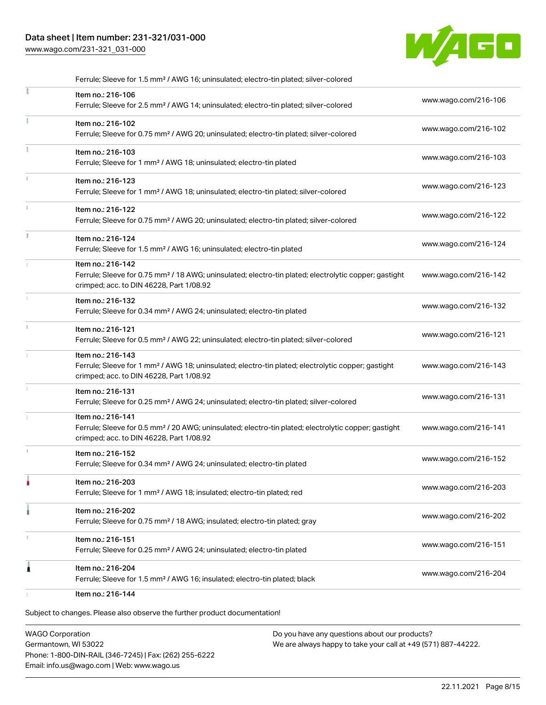# Data sheet | Item number: 231-321/031-000

[www.wago.com/231-321\\_031-000](http://www.wago.com/231-321_031-000)



| Ferrule; Sleeve for 1.5 mm <sup>2</sup> / AWG 16; uninsulated; electro-tin plated; silver-colored                                                                                  |                      |
|------------------------------------------------------------------------------------------------------------------------------------------------------------------------------------|----------------------|
| Item no.: 216-106<br>Ferrule; Sleeve for 2.5 mm <sup>2</sup> / AWG 14; uninsulated; electro-tin plated; silver-colored                                                             | www.wago.com/216-106 |
| Item no.: 216-102<br>Ferrule; Sleeve for 0.75 mm <sup>2</sup> / AWG 20; uninsulated; electro-tin plated; silver-colored                                                            | www.wago.com/216-102 |
| Item no.: 216-103<br>Ferrule; Sleeve for 1 mm <sup>2</sup> / AWG 18; uninsulated; electro-tin plated                                                                               | www.wago.com/216-103 |
| Item no.: 216-123<br>Ferrule; Sleeve for 1 mm <sup>2</sup> / AWG 18; uninsulated; electro-tin plated; silver-colored                                                               | www.wago.com/216-123 |
| Item no.: 216-122<br>Ferrule; Sleeve for 0.75 mm <sup>2</sup> / AWG 20; uninsulated; electro-tin plated; silver-colored                                                            | www.wago.com/216-122 |
| Item no.: 216-124<br>Ferrule; Sleeve for 1.5 mm <sup>2</sup> / AWG 16; uninsulated; electro-tin plated                                                                             | www.wago.com/216-124 |
| Item no.: 216-142<br>Ferrule; Sleeve for 0.75 mm <sup>2</sup> / 18 AWG; uninsulated; electro-tin plated; electrolytic copper; gastight<br>crimped; acc. to DIN 46228, Part 1/08.92 | www.wago.com/216-142 |
| Item no.: 216-132<br>Ferrule; Sleeve for 0.34 mm <sup>2</sup> / AWG 24; uninsulated; electro-tin plated                                                                            | www.wago.com/216-132 |
| Item no.: 216-121<br>Ferrule; Sleeve for 0.5 mm <sup>2</sup> / AWG 22; uninsulated; electro-tin plated; silver-colored                                                             | www.wago.com/216-121 |
| Item no.: 216-143<br>Ferrule; Sleeve for 1 mm <sup>2</sup> / AWG 18; uninsulated; electro-tin plated; electrolytic copper; gastight<br>crimped; acc. to DIN 46228, Part 1/08.92    | www.wago.com/216-143 |
| Item no.: 216-131<br>Ferrule; Sleeve for 0.25 mm <sup>2</sup> / AWG 24; uninsulated; electro-tin plated; silver-colored                                                            | www.wago.com/216-131 |
| Item no.: 216-141<br>Ferrule; Sleeve for 0.5 mm <sup>2</sup> / 20 AWG; uninsulated; electro-tin plated; electrolytic copper; gastight<br>crimped; acc. to DIN 46228, Part 1/08.92  | www.wago.com/216-141 |
| Item no.: 216-152<br>Ferrule; Sleeve for 0.34 mm <sup>2</sup> / AWG 24; uninsulated; electro-tin plated                                                                            | www.wago.com/216-152 |
| Item no.: 216-203<br>Ferrule; Sleeve for 1 mm <sup>2</sup> / AWG 18; insulated; electro-tin plated; red                                                                            | www.wago.com/216-203 |
| Item no.: 216-202<br>Ferrule; Sleeve for 0.75 mm <sup>2</sup> / 18 AWG; insulated; electro-tin plated; gray                                                                        | www.wago.com/216-202 |
| Item no.: 216-151<br>Ferrule; Sleeve for 0.25 mm <sup>2</sup> / AWG 24; uninsulated; electro-tin plated                                                                            | www.wago.com/216-151 |
|                                                                                                                                                                                    |                      |
|                                                                                                                                                                                    |                      |

Subject to changes. Please also observe the further product documentation!

WAGO Corporation Germantown, WI 53022 Phone: 1-800-DIN-RAIL (346-7245) | Fax: (262) 255-6222 Email: info.us@wago.com | Web: www.wago.us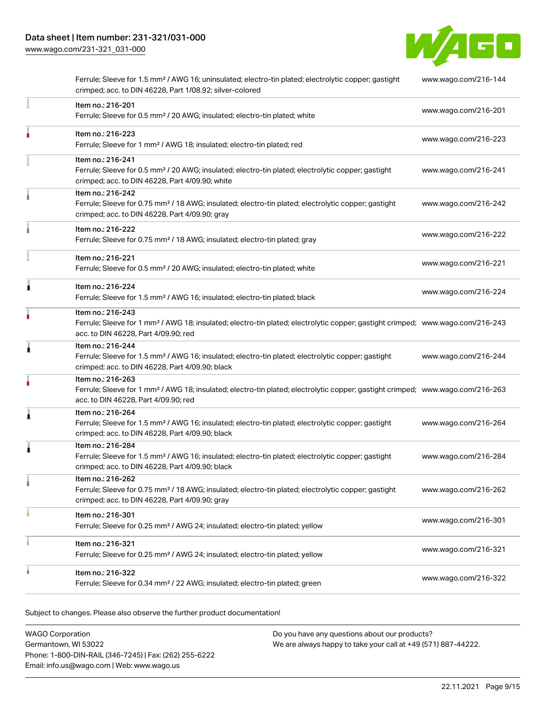[www.wago.com/231-321\\_031-000](http://www.wago.com/231-321_031-000)



|   | Ferrule; Sleeve for 1.5 mm <sup>2</sup> / AWG 16; uninsulated; electro-tin plated; electrolytic copper; gastight<br>crimped; acc. to DIN 46228, Part 1/08.92; silver-colored                            | www.wago.com/216-144 |
|---|---------------------------------------------------------------------------------------------------------------------------------------------------------------------------------------------------------|----------------------|
|   | Item no.: 216-201<br>Ferrule; Sleeve for 0.5 mm <sup>2</sup> / 20 AWG; insulated; electro-tin plated; white                                                                                             | www.wago.com/216-201 |
|   | Item no.: 216-223<br>Ferrule; Sleeve for 1 mm <sup>2</sup> / AWG 18; insulated; electro-tin plated; red                                                                                                 | www.wago.com/216-223 |
|   | Item no.: 216-241<br>Ferrule; Sleeve for 0.5 mm <sup>2</sup> / 20 AWG; insulated; electro-tin plated; electrolytic copper; gastight<br>crimped; acc. to DIN 46228, Part 4/09.90; white                  | www.wago.com/216-241 |
|   | Item no.: 216-242<br>Ferrule; Sleeve for 0.75 mm <sup>2</sup> / 18 AWG; insulated; electro-tin plated; electrolytic copper; gastight<br>crimped; acc. to DIN 46228, Part 4/09.90; gray                  | www.wago.com/216-242 |
|   | Item no.: 216-222<br>Ferrule; Sleeve for 0.75 mm <sup>2</sup> / 18 AWG; insulated; electro-tin plated; gray                                                                                             | www.wago.com/216-222 |
|   | Item no.: 216-221<br>Ferrule; Sleeve for 0.5 mm <sup>2</sup> / 20 AWG; insulated; electro-tin plated; white                                                                                             | www.wago.com/216-221 |
| ۸ | Item no.: 216-224<br>Ferrule; Sleeve for 1.5 mm <sup>2</sup> / AWG 16; insulated; electro-tin plated; black                                                                                             | www.wago.com/216-224 |
|   | Item no.: 216-243<br>Ferrule; Sleeve for 1 mm <sup>2</sup> / AWG 18; insulated; electro-tin plated; electrolytic copper; gastight crimped; www.wago.com/216-243<br>acc. to DIN 46228, Part 4/09.90; red |                      |
| 1 | Item no.: 216-244<br>Ferrule; Sleeve for 1.5 mm <sup>2</sup> / AWG 16; insulated; electro-tin plated; electrolytic copper; gastight<br>crimped; acc. to DIN 46228, Part 4/09.90; black                  | www.wago.com/216-244 |
|   | Item no.: 216-263<br>Ferrule; Sleeve for 1 mm <sup>2</sup> / AWG 18; insulated; electro-tin plated; electrolytic copper; gastight crimped; www.wago.com/216-263<br>acc. to DIN 46228, Part 4/09.90; red |                      |
| 1 | Item no.: 216-264<br>Ferrule; Sleeve for 1.5 mm <sup>2</sup> / AWG 16; insulated; electro-tin plated; electrolytic copper; gastight<br>crimped; acc. to DIN 46228, Part 4/09.90; black                  | www.wago.com/216-264 |
| 1 | Item no.: 216-284<br>Ferrule; Sleeve for 1.5 mm <sup>2</sup> / AWG 16; insulated; electro-tin plated; electrolytic copper; gastight<br>crimped; acc. to DIN 46228, Part 4/09.90; black                  | www.wago.com/216-284 |
|   | Item no.: 216-262<br>Ferrule; Sleeve for 0.75 mm <sup>2</sup> / 18 AWG; insulated; electro-tin plated; electrolytic copper; gastight<br>crimped; acc. to DIN 46228, Part 4/09.90; gray                  | www.wago.com/216-262 |
|   | Item no.: 216-301<br>Ferrule; Sleeve for 0.25 mm <sup>2</sup> / AWG 24; insulated; electro-tin plated; yellow                                                                                           | www.wago.com/216-301 |
|   | Item no.: 216-321<br>Ferrule; Sleeve for 0.25 mm <sup>2</sup> / AWG 24; insulated; electro-tin plated; yellow                                                                                           | www.wago.com/216-321 |
|   | Item no.: 216-322<br>Ferrule; Sleeve for 0.34 mm <sup>2</sup> / 22 AWG; insulated; electro-tin plated; green                                                                                            | www.wago.com/216-322 |
|   |                                                                                                                                                                                                         |                      |

| <b>WAGO Corporation</b>                                | Do you have any questions about our products?                 |
|--------------------------------------------------------|---------------------------------------------------------------|
| Germantown. WI 53022                                   | We are always happy to take your call at +49 (571) 887-44222. |
| Phone: 1-800-DIN-RAIL (346-7245)   Fax: (262) 255-6222 |                                                               |
| Email: info.us@wago.com   Web: www.wago.us             |                                                               |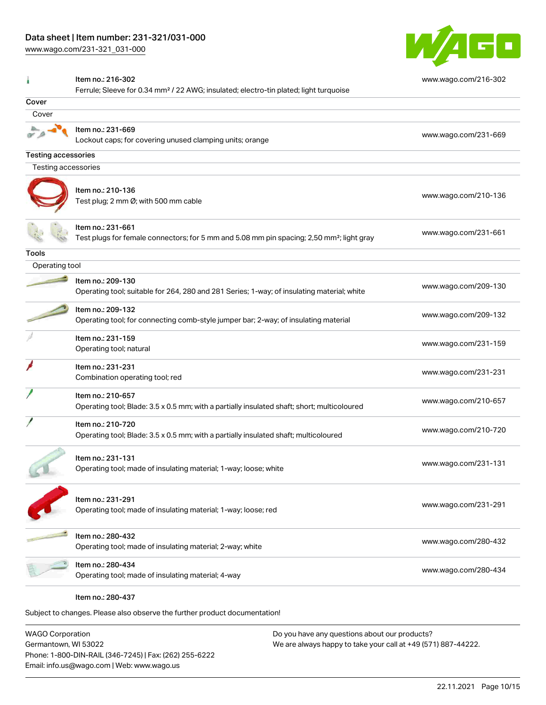[www.wago.com/231-321\\_031-000](http://www.wago.com/231-321_031-000)



# Item no.: 216-302 Ferrule; Sleeve for 0.34 mm² / 22 AWG; insulated; electro-tin plated; light turquoise [www.wago.com/216-302](http://www.wago.com/216-302) Cover Cover Item no.: 231-669 Lockout caps; for covering unused clamping units; orange [www.wago.com/231-669](http://www.wago.com/231-669) Testing accessories Testing accessories Item no.: 210-136 ntermine...<br>Test plug; 2 mm Ø; with 500 mm cable [www.wago.com/210-136](http://www.wago.com/210-136) Item no.: 231-661 Test plugs for female connectors; for 5 mm and 5.08 mm pin spacing; 2,50 mm²; light gray [www.wago.com/231-661](http://www.wago.com/231-661) Tools Operating tool Item no.: 209-130 Operating tool; suitable for 264, 280 and 281 Series; 1-way; of insulating material; white [www.wago.com/209-130](http://www.wago.com/209-130) Item no.: 209-132 Operating tool; for connecting comb-style jumper bar; 2-way; of insulating material [www.wago.com/209-132](http://www.wago.com/209-132) Item no.: 231-159 Non-non-251-159<br>Operating tool; natural [www.wago.com/231-159](http://www.wago.com/231-159) Item no.: 231-231 Not the set of the combination operating tool; red [www.wago.com/231-231](http://www.wago.com/231-231) combination operating tool; red Item no.: 210-657 Operating tool; Blade: 3.5 x 0.5 mm; with a partially insulated shaft; short; multicoloured [www.wago.com/210-657](http://www.wago.com/210-657) Item no.: 210-720 Next to the set of the US of the US of the US of the US of the US of the US of the US of the US of the US of the U<br>Operating tool; Blade: 3.5 x 0.5 mm; with a partially insulated shaft; multicoloured Item no.: 231-131 Operating tool; made of insulating material; 1-way; loose; white [www.wago.com/231-131](http://www.wago.com/231-131) www.wago.com/231-131 Item no.: 231-291 Nethrich 201251<br>Operating tool; made of insulating material; 1-way; loose; red [www.wago.com/231-291](http://www.wago.com/231-291) Item no.: 280-432 Operating tool; made of insulating material; 2-way; white [www.wago.com/280-432](http://www.wago.com/280-432) www.wago.com/280-432 Item no.: 280-434 Operating tool; made of insulating material; 4-way [www.wago.com/280-434](http://www.wago.com/280-434) Item no.: 280-437

Subject to changes. Please also observe the further product documentation!

WAGO Corporation Germantown, WI 53022 Phone: 1-800-DIN-RAIL (346-7245) | Fax: (262) 255-6222 Email: info.us@wago.com | Web: www.wago.us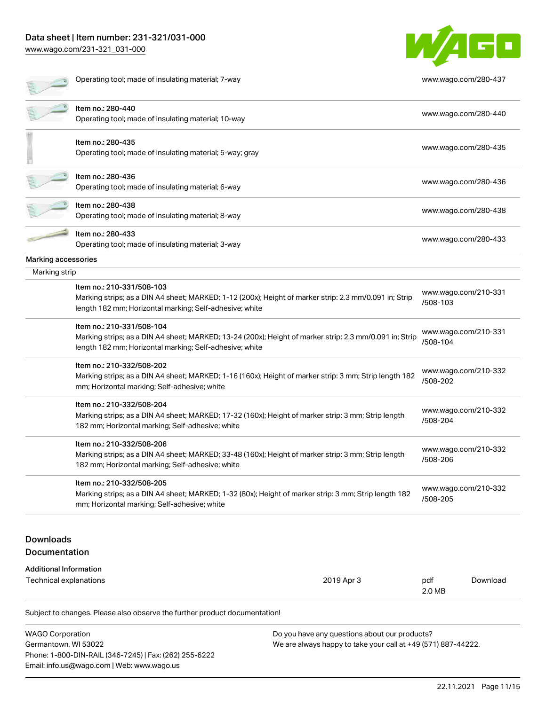# Data sheet | Item number: 231-321/031-000

[www.wago.com/231-321\\_031-000](http://www.wago.com/231-321_031-000)

言 :



Operating tool; made of insulating material; 7-way [www.wago.com/280-437](http://www.wago.com/280-437)

| <b>Additional Information</b><br>Technical explanations |                                                                                                                                                                                                 | 2019 Apr 3 | pdf                              | Download             |
|---------------------------------------------------------|-------------------------------------------------------------------------------------------------------------------------------------------------------------------------------------------------|------------|----------------------------------|----------------------|
| <b>Downloads</b><br>Documentation                       |                                                                                                                                                                                                 |            |                                  |                      |
|                                                         | mm; Horizontal marking; Self-adhesive; white                                                                                                                                                    |            |                                  |                      |
|                                                         | Item no.: 210-332/508-205<br>Marking strips; as a DIN A4 sheet; MARKED; 1-32 (80x); Height of marker strip: 3 mm; Strip length 182                                                              |            | www.wago.com/210-332<br>/508-205 |                      |
|                                                         | 182 mm; Horizontal marking; Self-adhesive; white                                                                                                                                                |            | /508-206                         |                      |
|                                                         | Item no.: 210-332/508-206<br>Marking strips; as a DIN A4 sheet; MARKED; 33-48 (160x); Height of marker strip: 3 mm; Strip length                                                                |            | www.wago.com/210-332             |                      |
|                                                         | Marking strips; as a DIN A4 sheet; MARKED; 17-32 (160x); Height of marker strip: 3 mm; Strip length<br>182 mm; Horizontal marking; Self-adhesive; white                                         |            | www.wago.com/210-332<br>/508-204 |                      |
|                                                         | Item no.: 210-332/508-204                                                                                                                                                                       |            |                                  |                      |
|                                                         | Marking strips; as a DIN A4 sheet; MARKED; 1-16 (160x); Height of marker strip: 3 mm; Strip length 182<br>mm; Horizontal marking; Self-adhesive; white                                          |            | www.wago.com/210-332<br>/508-202 |                      |
|                                                         | Item no.: 210-332/508-202                                                                                                                                                                       |            |                                  |                      |
|                                                         | Item no.: 210-331/508-104<br>Marking strips; as a DIN A4 sheet; MARKED; 13-24 (200x); Height of marker strip: 2.3 mm/0.091 in; Strip<br>length 182 mm; Horizontal marking; Self-adhesive; white |            | www.wago.com/210-331<br>/508-104 |                      |
|                                                         | length 182 mm; Horizontal marking; Self-adhesive; white                                                                                                                                         |            | /508-103                         |                      |
|                                                         | Item no.: 210-331/508-103<br>Marking strips; as a DIN A4 sheet; MARKED; 1-12 (200x); Height of marker strip: 2.3 mm/0.091 in; Strip                                                             |            |                                  | www.wago.com/210-331 |
| Marking strip                                           |                                                                                                                                                                                                 |            |                                  |                      |
| Marking accessories                                     | Operating tool; made of insulating material; 3-way                                                                                                                                              |            |                                  |                      |
|                                                         | Item no.: 280-433                                                                                                                                                                               |            |                                  | www.wago.com/280-433 |
|                                                         | Item no.: 280-438<br>Operating tool; made of insulating material; 8-way                                                                                                                         |            |                                  | www.wago.com/280-438 |
|                                                         | Item no.: 280-436<br>Operating tool; made of insulating material; 6-way                                                                                                                         |            |                                  | www.wago.com/280-436 |
|                                                         | Item no.: 280-435<br>Operating tool; made of insulating material; 5-way; gray                                                                                                                   |            |                                  | www.wago.com/280-435 |
|                                                         |                                                                                                                                                                                                 |            |                                  |                      |
|                                                         | Operating tool; made of insulating material; 10-way                                                                                                                                             |            |                                  | www.wago.com/280-440 |

| <b>WAGO Corporation</b>                                | Do you have any questions about our products?                 |
|--------------------------------------------------------|---------------------------------------------------------------|
| Germantown. WI 53022                                   | We are always happy to take your call at +49 (571) 887-44222. |
| Phone: 1-800-DIN-RAIL (346-7245)   Fax: (262) 255-6222 |                                                               |
| Email: info.us@wago.com   Web: www.wago.us             |                                                               |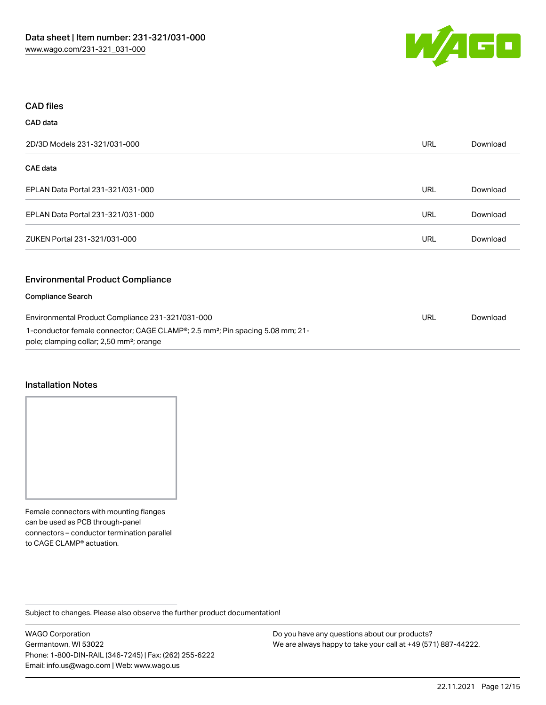

#### CAD files

# CAD data 2D/3D Models 231-321/031-000 URL [Download](https://www.wago.com/global/d/3D_URLS_231-321_031-000) CAE data EPLAN Data Portal 231-321/031-000 URL [Download](https://www.wago.com/global/d/EPLAN_URLS_231-321%252F031-000) EPLAN Data Portal 231-321/031-000 URL [Download](https://www.wago.com/global/d/EPLAN_URLS_231-321_031-000) ZUKEN Portal 231-321/031-000 URL [Download](https://www.wago.com/global/d/Zuken_URLS_231-321_031-000) Environmental Product Compliance Compliance Search Environmental Product Compliance 231-321/031-000 1-conductor female connector; CAGE CLAMP®; 2.5 mm²; Pin spacing 5.08 mm; 21 pole; clamping collar; 2,50 mm²; orange URL [Download](https://www.wago.com/global/d/ComplianceLinkMediaContainer_231-321_031-000)

#### Installation Notes

Female connectors with mounting flanges can be used as PCB through-panel connectors – conductor termination parallel to CAGE CLAMP® actuation.

Subject to changes. Please also observe the further product documentation!

WAGO Corporation Germantown, WI 53022 Phone: 1-800-DIN-RAIL (346-7245) | Fax: (262) 255-6222 Email: info.us@wago.com | Web: www.wago.us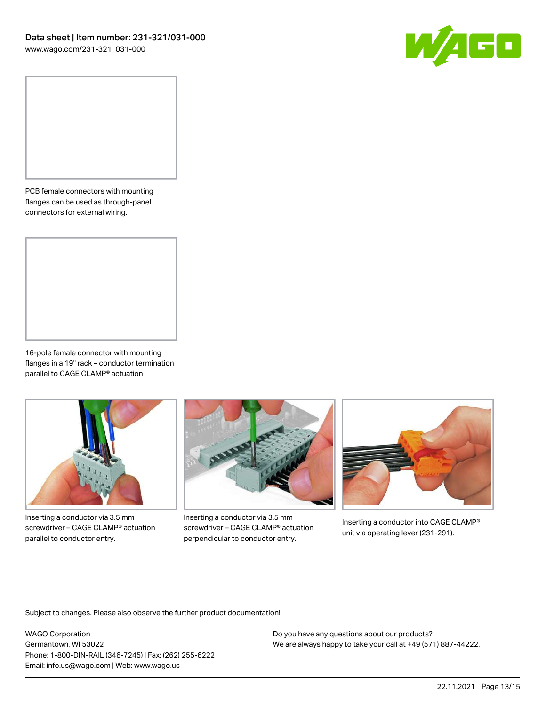

PCB female connectors with mounting flanges can be used as through-panel connectors for external wiring.

16-pole female connector with mounting flanges in a 19" rack – conductor termination parallel to CAGE CLAMP® actuation



Inserting a conductor via 3.5 mm screwdriver – CAGE CLAMP® actuation parallel to conductor entry.



Inserting a conductor via 3.5 mm screwdriver – CAGE CLAMP® actuation perpendicular to conductor entry.



Inserting a conductor into CAGE CLAMP® unit via operating lever (231-291).

Subject to changes. Please also observe the further product documentation!

WAGO Corporation Germantown, WI 53022 Phone: 1-800-DIN-RAIL (346-7245) | Fax: (262) 255-6222 Email: info.us@wago.com | Web: www.wago.us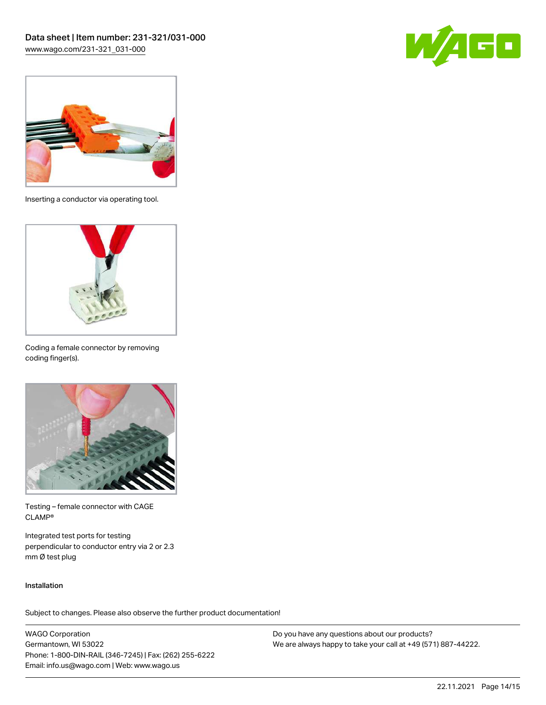



Inserting a conductor via operating tool.



Coding a female connector by removing coding finger(s).



Testing – female connector with CAGE CLAMP®

Integrated test ports for testing perpendicular to conductor entry via 2 or 2.3 mm Ø test plug

#### Installation

Subject to changes. Please also observe the further product documentation!

WAGO Corporation Germantown, WI 53022 Phone: 1-800-DIN-RAIL (346-7245) | Fax: (262) 255-6222 Email: info.us@wago.com | Web: www.wago.us